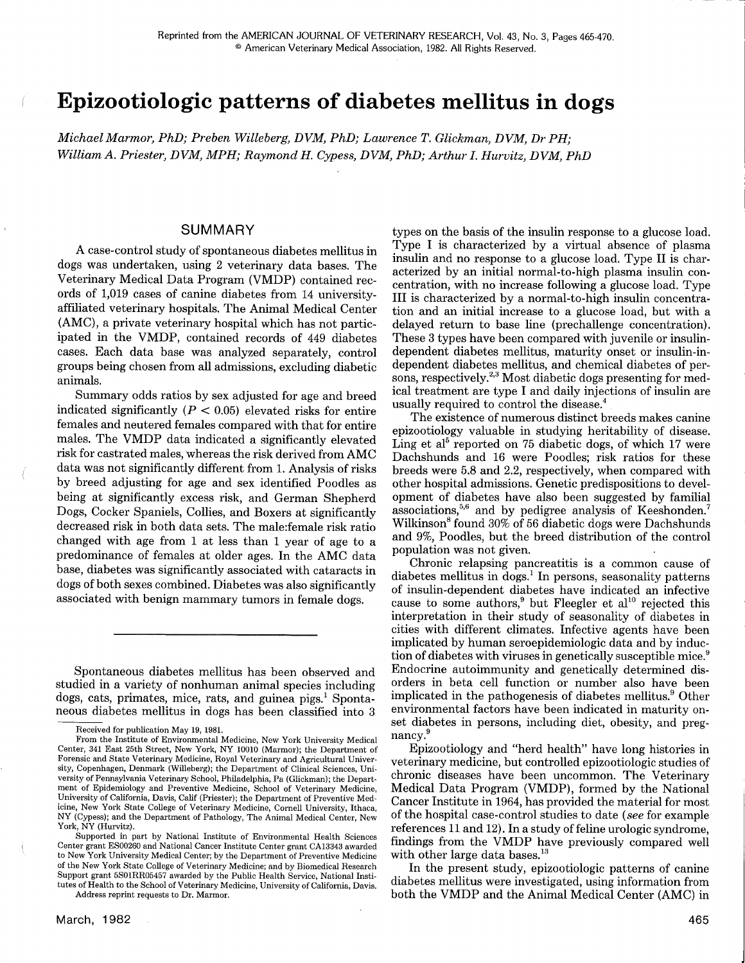# Epizootiologic patterns of diabetes mellitus in dogs

Michael Marmor, PhD; Preben Willeberg, DVM, PhD; Lawrence T. Glickman, DVM, Dr PH; William A. Priester, DVM, MPH; Raymond H. Cypess, DVM, PhD; Arthur I. Hurvitz, DVM, PhD

## SUMMARY

A case-control study of spontaneous diabetes mellitus in dogs was undertaken, using 2 veterinary data bases. The Veterinary Medical Data Program (VMDP) contained records of 1,019 cases of canine diabetes from 14 universityaffiliated veterinary hospitals. The Animal Medical Center (AMC), a private veterinary hospital which has not participated in the VMDP, contained records of 449 diabetes cases. Each data base was analyzed separately, control groups being chosen from all admissions, excluding diabetic animals.

Summary odds ratios by sex adjusted for age and breed indicated significantly  $(P < 0.05)$  elevated risks for entire females and neutered females compared with that for entire males. The VMDP data indicated a significantly elevated risk for castrated males, whereas the risk derived from AMC data was not significantly different from 1. Analysis of risks by breed adjusting for age and sex identified Poodles as being at significantly excess risk, and German Shepherd Dogs, Cocker Spaniels, Collies, and Boxers at significantly decreased risk in both data sets. The male:female risk ratio changed with age from 1 at less than 1 year of age to a predominance of females at older ages. In the AMC data base, diabetes was significantly associated with cataracts in dogs of both sexes combined. Diabetes was also significantly associated with benign mammary tumors in female dogs.

Spontaneous diabetes mellitus has been observed and studied in a variety of nonhuman animal species including dogs, cats, primates, mice, rats, and guinea pigs.<sup>1</sup> Spontaneous diabetes mellitus in dogs has been classified into 3

Address reprint requests to Dr. Marmor.

types on the basis of the insulin response to a glucose load. Type I is characterized by a virtual absence of plasma insulin and no response to a glucose load. Type II is characterized by an initial normal-to-high plasma insulin concentration, with no increase following a glucose load. Type III is characterized by a normal-to-high insulin concentration and an initial increase to a glucose load, but with a delayed return to base line (prechallenge concentration). These 3 types have been compared with juvenile or insulindependent diabetes mellitus, maturity onset or insulin-independent diabetes mellitus, and chemical diabetes of persons, respectively.<sup>2,3</sup> Most diabetic dogs presenting for medical treatment are type I and daily injections of insulin are usually required to control the disease.4

The existence of numerous distinct breeds makes canine epizootiology valuable in studying heritability of disease. Ling et al<sup>5</sup> reported on 75 diabetic dogs, of which 17 were Dachshunds and 16 were Poodles; risk ratios for these breeds were 5.8 and 2.2, respectively, when compared with other hospital admissions. Genetic predispositions to development of diabetes have also been suggested by familial associations,<sup>5,6</sup> and by pedigree analysis of Keeshonden.<sup>7</sup> Wilkinson<sup>8</sup> found 30% of 56 diabetic dogs were Dachshunds and 9%, Poodles, but the breed distribution of the control population was not given.

Chronic relapsing pancreatitis is a common cause of diabetes mellitus in dogs.<sup>1</sup> In persons, seasonality patterns of insulin-dependent diabetes have indicated an infective cause to some authors,<sup>9</sup> but Fleegler et al<sup>10</sup> rejected this interpretation in their study of seasonality of diabetes in cities with different climates. Infective agents have been implicated by human seroepidemiologic data and by induction of diabetes with viruses in genetically susceptible mice.<sup>9</sup> Endocrine autoimmunity and genetically determined disorders in beta cell function or number also have been implicated in the pathogenesis of diabetes mellitus.<sup>9</sup> Other environmental factors have been indicated in maturity onset diabetes in persons, including diet, obesity, and pregnancy.<sup>9</sup>

Epizootiology and "herd health" have long histories in veterinary medicine, but controlled epizootiologic studies of chronic diseases have been uncommon. The Veterinary Medical Data Program (VMDP), formed by the National Cancer Institute in 1964, has provided the material for most of the hospital case-control studies to date (see for example references 11 and 12). In a study of feline urologic syndrome, findings from the VMDP have previously compared well with other large data bases. $^{13}$ 

In the present study, epizootiologic patterns of canine diabetes mellitus were investigated, using information from both the VMDP and the Animal Medical Center (AMC) in

Received for publication May 19, 1981.

From the Institute of Environmental Medicine, New York University Medical Center, 341 East 25th Street, New York, NY 10010 (Marmot); the Department of Forensic and State Veterinary Medicine, Royal Veterinary and Agricultural University, Copenhagen, Denmark (Willeberg); the Department of Clinical Sciences, University of Pennsylvania Veterinary School, Philadelphia, Pa (Glickman); the Department of Epidemiology and Preventive Medicine, School of Veterinary Medicine, University of California, Davis, Calif (Priester); the Department of Preventive Medicine, New York State College of Veterinary Medicine, Cornell University, Ithaca, NY (Cypess); and the Department of Pathology, The Animal Medical Center, New York, NY (Hurvitz).

Supported in part by National Institute of Environmental Health Sciences Center grant ES00260 and National Cancer Institute Center grant CA13343 awarded to New York University Medical Center; by the Department of Preventive Medicine of the New York State College of Veterinary Medicine; and by Biomedical Research Support grant 5S01RR05457 awarded by the Public Health Service, National Institutes of Health to the School of Veterinary Medicine, University of California, Davis.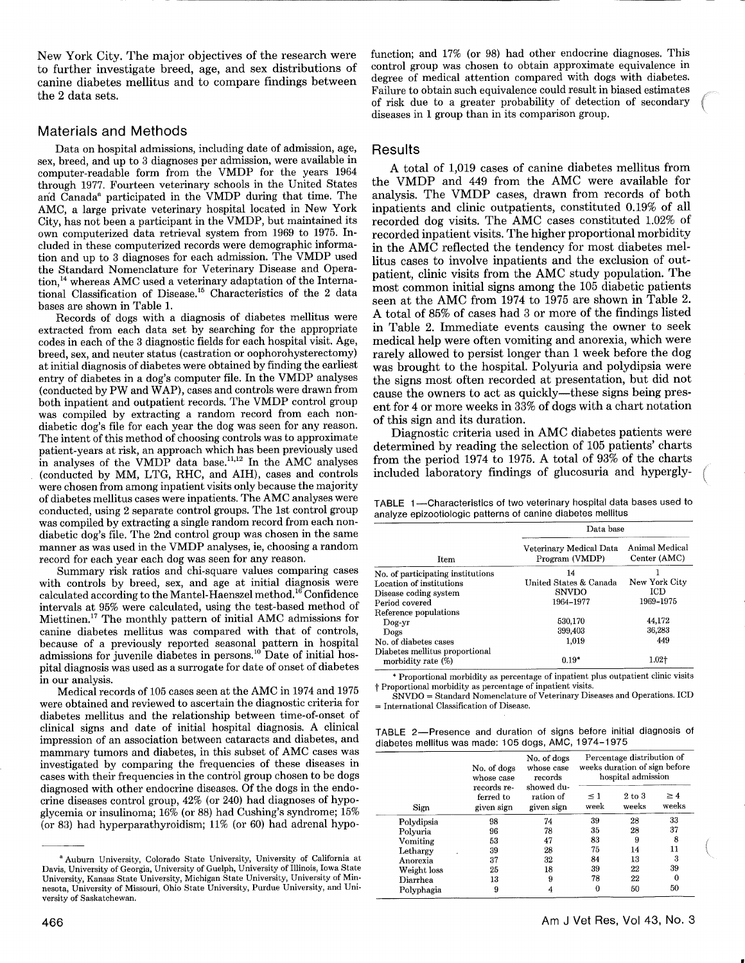New York City. The major objectives of the research were to further investigate breed, age, and sex distributions of canine diabetes mellitus and to compare findings between the 2 data sets.

#### Materials and Methods

Data on hospital admissions, including date of admission, age, sex, breed, and up to 3 diagnoses per admission, were available in computer-readable form from the VMDP for the years 1964 through 1977. Fourteen veterinary schools in the United States and Canada<sup>a</sup> participated in the VMDP during that time. The AMC, a large private veterinary hospital located in New York City, has not been a participant in the VMDP, but maintained its own computerized data retrieval system from 1969 to 1975. Included in these computerized records were demographic information and up to 3 diagnoses for each admission. The VMDP used the Standard Nomenclature for Veterinary Disease and Operation,<sup>14</sup> whereas AMC used a veterinary adaptation of the International Classification of Disease.15 Characteristics of the 2 data bases are shown in Table 1.

Records of dogs with a diagnosis of diabetes mellitus were extracted from each data set by searching for the appropriate codes in each of the 3 diagnostic fields for each hospital visit. Age, breed, sex, and neuter status (castration or oophorohysterectomy) at initial diagnosis of diabetes were obtained by finding the earliest entry of diabetes in a dog's computer file. In the VMDP analyses (conducted by PW and WAP), cases and controls were drawn from both inpatient and outpatient records. The VMDP control group was compiled by extracting a random record from each nondiabetic dog's file for each year the dog was seen for any reason. The intent of this method of choosing controls was to approximate patient-years at risk, an approach which has been previously used in analyses of the VMDP data base.<sup>11,12</sup> In the AMC analyses (conducted by MM, LTG, RHC, and AIH), cases and controls were chosen from among inpatient visits only because the majority of diabetes mellitus cases were inpatients. The AMC analyses were conducted, using 2 separate control groups. The 1st control group was compiled by extracting a single random record from each nondiabetic dog's file. The 2nd control group was chosen in the same manner as was used in the VMDP analyses, ie, choosing a random record for each year each dog was seen for any reason.

Summary risk ratios and chi-square values comparing cases with controls by breed, sex, and age at initial diagnosis were calculated according to the Mantel-Haenszel method.16 Confidence intervals at 95% were calculated, using the test-based method of Miettinen.<sup>17</sup> The monthly pattern of initial AMC admissions for canine diabetes mellitus was compared with that of controls, because of a previously reported seasonal pattern in hospital admissions for juvenile diabetes in persons.<sup>10</sup> Date of initial hospital diagnosis was used as a surrogate for date of onset of diabetes in our analysis.

Medical records of 105 cases seen at the AMC in 1974 and 1975 were obtained and reviewed to ascertain the diagnostic criteria for diabetes mellitus and the relationship between time-of-onset of clinical signs and date of initial hospital diagnosis. A clinical impression of an association between cataracts and diabetes, and mammary tumors and diabetes, in this subset of AMC cases was investigated by comparing the frequencies of these diseases in cases with their frequencies in the control group chosen to be dogs diagnosed with other endocrine diseases. Of the dogs in the endocrine diseases control group, 42% (or 240) had diagnoses of hypoglycemia or insulinoma; 16% (or 88) had Cushing's syndrome; 15% (or 83) had hyperparathyroidism; 11% (or 60) had adrenal hypofunction; and 17% (or 98) had other endocrine diagnoses. This control group was chosen to obtain approximate equivalence in degree of medical attention compared with dogs with diabetes. Failure to obtain such equivalence could result in biased estimates of risk due to a greater probability of detection of secondary diseases in 1 group than in its comparison group.

#### Results

A total of 1,019 cases of canine diabetes mellitus from the VMDP and 449 from the AMC were available for analysis. The VMDP cases, drawn from records of both inpatients and clinic outpatients, constituted 0.19% of all recorded dog visits. The AMC cases constituted 1.02% of recorded inpatient visits. The higher proportional morbidity in the AMC reflected the tendency for most diabetes mellitus cases to involve inpatients and the exclusion of outpatient, clinic visits from the AMC study population. The most common initial signs among the 105 diabetic patients seen at the AMC from 1974 to 1975 are shown in Table 2. A total of 85% of cases had 3 or more of the findings listed in Table 2. Immediate events causing the owner to seek medical help were often vomiting and anorexia, which were rarely allowed to persist longer than 1 week before the dog was brought to the hospital. Polyuria and polydipsia were the signs most often recorded at presentation, but did not cause the owners to act as quickly-these signs being present for 4 or more weeks in 33% of dogs with a chart notation of this sign and its duration.

Diagnostic criteria used in AMC diabetes patients were determined by reading the selection of 105 patients' charts from the period 1974 to 1975. A total of 93% of the charts included laboratory findings of glucosuria and hypergly-

TABLE 1-Characteristics of two veterinary hospital data bases used to analyze epizootiologic patterns of canine diabetes mellitus

|                                                      | Data base                                 |                                |  |  |  |
|------------------------------------------------------|-------------------------------------------|--------------------------------|--|--|--|
| Item                                                 | Veterinary Medical Data<br>Program (VMDP) | Animal Medical<br>Center (AMC) |  |  |  |
| No. of participating institutions                    | 14                                        |                                |  |  |  |
| Location of institutions                             | United States & Canada                    | New York City                  |  |  |  |
| Disease coding system                                | <b>SNVDO</b>                              | ICD                            |  |  |  |
| Period covered                                       | 1964-1977                                 | 1969-1975                      |  |  |  |
| Reference populations                                |                                           |                                |  |  |  |
| $Doq-yr$                                             | 530.170                                   | 44.172                         |  |  |  |
| Dogs                                                 | 399,403                                   | 36,283                         |  |  |  |
| No. of diabetes cases                                | 1.019                                     | 449                            |  |  |  |
| Diabetes mellitus proportional<br>morbidity rate (%) | $0.19*$                                   | $1.02+$                        |  |  |  |

\* Proportional morbidity as percentage of inpatient plus outpatient clinic visits t Proportional morbidity as percentage of inpatient visits.

SNVDO = Standard Nomenclature of Veterinary Diseases and Operations. ICD = International Classification of Disease.

TABLE 2--Presence and duration of signs before initial diagnosis of diabetes mellitus was made: 105 dogs, AMC, 1974-1975

|             | No. of dogs<br>whose case              | No. of dogs<br>whose case<br>records  | Percentage distribution of<br>weeks duration of sign before<br>hospital admission |                     |                   |  |
|-------------|----------------------------------------|---------------------------------------|-----------------------------------------------------------------------------------|---------------------|-------------------|--|
| Sign        | records re-<br>ferred to<br>given sign | showed du-<br>ration of<br>given sign | $\leq$ 1<br>week                                                                  | $2$ to $3$<br>weeks | $\geq 4$<br>weeks |  |
| Polydipsia  | 98                                     | 74                                    | 39                                                                                | 28                  | 33                |  |
| Polyuria    | 96                                     | 78                                    | 35                                                                                | 28                  | 37                |  |
| Vomiting    | 53                                     | 47                                    | 83                                                                                | 9                   | 8                 |  |
| Lethargy    | 39                                     | 28                                    | 75                                                                                | 14                  | 11                |  |
| Anorexia    | 37                                     | 32                                    | 84                                                                                | 13                  | 3                 |  |
| Weight loss | 25                                     | 18                                    | 39                                                                                | 22                  | 39                |  |
| Diarrhea    | 13                                     | 9                                     | 78                                                                                | 22                  | 0                 |  |
| Polyphagia  | 9                                      |                                       | 0                                                                                 | 50                  | 50                |  |

a Auburn University, Colorado State University, University of California at Davis, University of Georgia, University of Guelph, University of Illinois, Iowa State University, Kansas State University, Michigan State University, University of Minnesota, University of Missouri, Ohio State University, Purdue University, and Uni-Versity of Saskatchewan.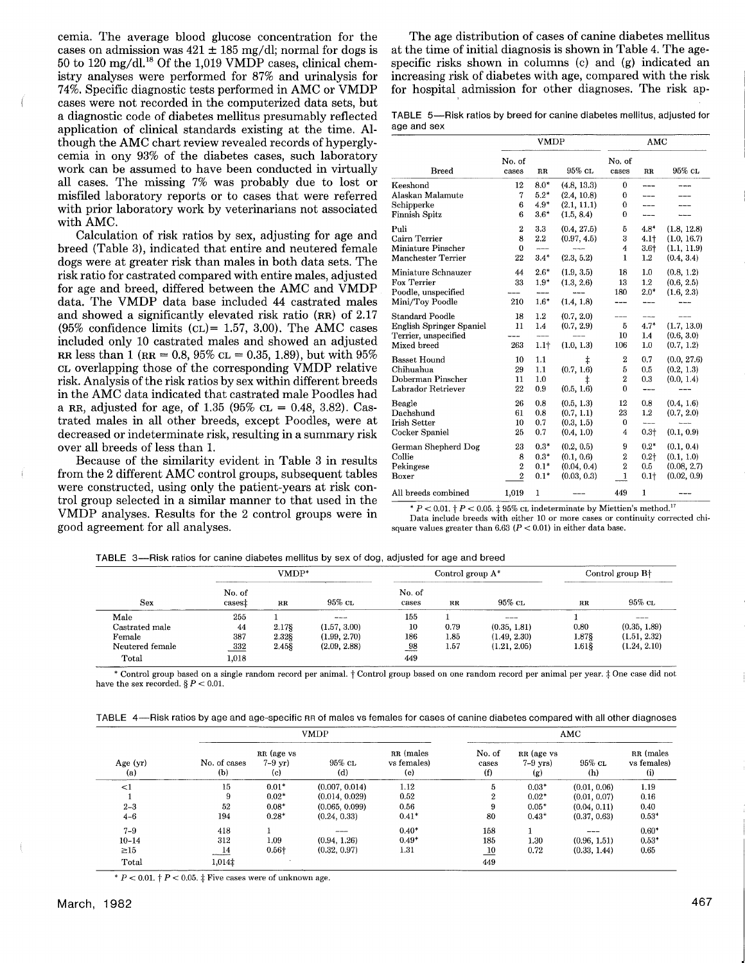cemia. The average blood glucose concentration for the cases on admission was  $421 \pm 185$  mg/dl; normal for dogs is 50 to 120 mg/dl.<sup>18</sup> Of the 1,019 VMDP cases, clinical chemistry analyses were performed for 87% and urinalysis for 74%. Specific diagnostic tests performed in AMC or VMDP cases were not recorded in the computerized data sets, but a diagnostic code of diabetes mellitus presumably reflected application of clinical standards existing at the time. Although the AMC chart review revealed records of hyperglycemia in ony 93% of the diabetes cases, such laboratory work can be assumed to have been conducted in virtually all cases. The missing 7% was probably due to lost or misfiled laboratory reports or to cases that were referred with prior laboratory work by veterinarians not associated with AMC.

Calculation of risk ratios by sex, adjusting for age and breed (Table 3), indicated that entire and neutered female dogs were at greater risk than males in both data sets. The risk ratio for castrated compared with entire males, adjusted for age and breed, differed between the AMC and VMDP data. The VMDP data base included 44 castrated males and showed a significantly elevated risk ratio (RR) of 2.17 (95% confidence limits ( $CL$ )= 1.57, 3.00). The AMC cases included only 10 castrated males and showed an adjusted RR less than 1 (RR = 0.8, 95%  $CL = 0.35, 1.89$ ), but with 95% CL overlapping those of the corresponding VMDP relative risk. Analysis of the risk ratios by sex within different breeds in the AMC data indicated that castrated male Poodles had a RR, adjusted for age, of 1.35 (95%  $CL = 0.48, 3.82$ ). Castrated males in all other breeds, except Poodles, were at decreased or indeterminate risk, resulting in a summary risk over all breeds of less than 1.

Because of the similarity evident in Table 3 in results from the 2 different AMC control groups, subsequent tables were constructed, using only the patient-years at risk control group selected in a similar manner to that used in the VMDP analyses. Results for the 2 control groups were in good agreement for all analyses.

The age distribution of cases of canine diabetes mellitus at the time of initial diagnosis is shown in Table 4. The agespecific risks shown in columns (c) and (g) indicated an increasing risk of diabetes with age, compared with the risk for hospital admission for other diagnoses. The risk ap-

TABLE 5--Risk ratios by breed for canine diabetes mellitus, adjusted for age and sex

|                                                                                                  |                                             | <b>VMDP</b>                          |                                                         | AMC                                                 |                                          |                                                         |
|--------------------------------------------------------------------------------------------------|---------------------------------------------|--------------------------------------|---------------------------------------------------------|-----------------------------------------------------|------------------------------------------|---------------------------------------------------------|
| <b>Breed</b>                                                                                     | No. of<br>cases                             | $_{\rm RR}$                          | $95\%$ CL                                               | No. of<br>cases                                     | $_{\rm RR}$                              | 95% CL                                                  |
| Keeshond<br>Alaskan Malamute<br>Schipperke<br>Finnish Spitz                                      | 12<br>7<br>6<br>6                           | $8.0*$<br>$5.2*$<br>$4.9*$<br>$3.6*$ | (4.8, 13.3)<br>(2.4, 10.8)<br>(2.1, 11.1)<br>(1.5, 8.4) | 0<br>0<br>0<br>$\theta$                             | ----                                     |                                                         |
| Puli<br>Cairn Terrier<br><b>Miniature Pinscher</b><br><b>Manchester Terrier</b>                  | $\boldsymbol{2}$<br>8<br>0<br>22            | 3.3<br>2.2<br>$ -$<br>$3.4*$         | (0.4, 27.5)<br>(0.97, 4.5)<br>$---$<br>(2.3, 5.2)       | 5<br>3<br>$\overline{4}$<br>1                       | $4.8*$<br>$4.1+$<br>$3.6 +$<br>$1.2\,$   | (1.8, 12.8)<br>(1.0, 16.7)<br>(1.1, 11.9)<br>(0.4, 3.4) |
| Miniature Schnauzer<br>Fox Terrier<br>Poodle, unspecified<br>Mini/Toy Poodle                     | 44<br>33<br>210                             | $2.6*$<br>$1.9*$<br>----<br>$1.6*$   | (1.9, 3.5)<br>(1.3, 2.6)<br>----<br>(1.4, 1.8)          | 18<br>13<br>180                                     | 1.0<br>1.2<br>$2.0*$                     | (0.8, 1.2)<br>(0.6, 2.5)<br>(1.6, 2.3)                  |
| <b>Standard Poodle</b><br><b>English Springer Spaniel</b><br>Terrier, unspecified<br>Mixed breed | 18<br>11<br>263                             | 1.2<br>1.4<br>1.1 <sub>†</sub>       | (0.7, 2.0)<br>(0.7, 2.9)<br>(1.0, 1.3)                  | 5<br>10<br>106                                      | $4.7*$<br>1.4<br>1.0                     | (1.7, 13.0)<br>(0.6, 3.0)<br>(0.7, 1.2)                 |
| <b>Basset Hound</b><br>Chihuahua<br>Doberman Pinscher<br><b>Labrador Retriever</b>               | 10<br>29<br>11<br>$^{22}$                   | 1.1<br>1.1<br>1.0<br>0.9             | ŧ<br>(0.7, 1.6)<br>$\ddagger$<br>(0.5, 1.6)             | $\boldsymbol{2}$<br>5<br>$\overline{2}$<br>$\bf{0}$ | 0.7<br>0.5<br>0.3                        | (0.0, 27.6)<br>(0.2, 1.3)<br>(0.0, 1.4)                 |
| Beagle<br>Dachshund<br><b>Irish Setter</b><br>Cocker Spaniel                                     | 26<br>61<br>10<br>25                        | 0.8<br>0.8<br>0.7<br>0.7             | (0.5, 1.3)<br>(0.7, 1.1)<br>(0.3, 1.5)<br>(0.4, 1.0)    | 12<br>23<br>0<br>4                                  | 0.8<br>$1.2\,$<br>---<br>$0.3 +$         | (0.4, 1.6)<br>(0.7, 2.0)<br>(0.1, 0.9)                  |
| German Shepherd Dog<br>Collie<br>Pekingese<br>Boxer                                              | 23<br>8<br>$\overline{2}$<br>$\overline{2}$ | $0.3*$<br>$0.3*$<br>$0.1*$<br>$0.1*$ | (0.2, 0.5)<br>(0.1, 0.6)<br>(0.04, 0.4)<br>(0.03, 0.3)  | 9<br>2<br>$\overline{2}$<br>1                       | $0.2*$<br>$0.2 +$<br>0.5<br>$0.1\dagger$ | (0.1, 0.4)<br>(0.1, 1.0)<br>(0.08, 2.7)<br>(0.02, 0.9)  |
| All breeds combined                                                                              | 1,019                                       | 1                                    |                                                         | 449                                                 | 1                                        |                                                         |

\*  $P < 0.01$ . †  $P < 0.05$ . ‡ 95% cL indeterminate by Miettien's method.<sup>17</sup>

Data include breeds with either 10 or more cases or continuity corrected chisquare values greater than  $6.63$  ( $P < 0.01$ ) in either data base.

|                 |                              | VMDP*       |              | Control group $A^*$ |         |              | Control group B <sup>+</sup> |              |
|-----------------|------------------------------|-------------|--------------|---------------------|---------|--------------|------------------------------|--------------|
| Sex             | No. of<br>cases <sup>†</sup> | $_{\rm RR}$ | $95\%$ CL    | No. of<br>cases     | $_{RR}$ | 95% сг.      | $_{\rm RR}$                  | 95% cl       |
| Male            | 255                          |             | ----         | 155                 |         | $- - - -$    |                              | ---          |
| Castrated male  | 44                           | 2.17§       | (1.57, 3.00) | 10                  | 0.79    | (0.35, 1.81) | 0.80                         | (0.35, 1.89) |
| Female          | 387                          | 2.32\$      | (1.99, 2.70) | 186                 | 1.85    | (1.49, 2.30) | 1.878                        | (1.51, 2.32) |
| Neutered female | 332                          | 2.458       | (2.09, 2.88) | 98                  | 1.57    | (1.21, 2.05) | 1.618                        | (1.24, 2.10) |
| Total           | 1,018                        |             |              | 449                 |         |              |                              |              |

\* Control group based on a single random record per animal. † Control group based on one random record per animal per year. ‡ One case did not have the sex recorded.  $\S P < 0.01$ .

TABLE 4-Risk ratios by age and age-specific RR of males vs females for cases of canine diabetes compared with all other diagnoses

|                   |                     |                                         | <b>VMDP</b><br>AMC |                                 |                        |                                 |               |                                 |
|-------------------|---------------------|-----------------------------------------|--------------------|---------------------------------|------------------------|---------------------------------|---------------|---------------------------------|
| Age $(yr)$<br>(a) | No. of cases<br>(b) | RR (age vs<br>$7 - 9 \text{ yr}$<br>(c) | 95% cl<br>(d)      | RR (males<br>vs females)<br>(e) | No. of<br>cases<br>(f) | RR (age vs<br>$7-9$ yrs)<br>(g) | 95% cl<br>(h) | RR (males<br>vs females)<br>(i) |
| $\leq$ 1          | 15                  | $0.01*$                                 | (0.007, 0.014)     | 1.12                            | 5                      | $0.03*$                         | (0.01, 0.06)  | 1.19                            |
|                   | 9                   | $0.02*$                                 | (0.014, 0.029)     | 0.52                            | 2                      | $0.02*$                         | (0.01, 0.07)  | 0.16                            |
| $2 - 3$           | 52                  | $0.08*$                                 | (0.065, 0.099)     | 0.56                            | 9                      | $0.05*$                         | (0.04, 0.11)  | 0.40                            |
| $4 - 6$           | 194                 | $0.28*$                                 | (0.24, 0.33)       | $0.41*$                         | 80                     | $0.43*$                         | (0.37, 0.63)  | $0.53*$                         |
| $7 - 9$           | 418                 |                                         | ---                | $0.40*$                         | 158                    |                                 |               | $0.60*$                         |
| $10 - 14$         | 312                 | 1.09                                    | (0.94, 1.26)       | $0.49*$                         | 185                    | $1.30\,$                        | (0.96, 1.51)  | $0.53*$                         |
| $\geq 15$         | $\frac{14}{1}$      | 0.56 <sup>†</sup>                       | (0.32, 0.97)       | 1.31                            | 10                     | 0.72                            | (0.33, 1.44)  | 0.65                            |
| Total             | 1,014‡              |                                         |                    |                                 | 449                    |                                 |               |                                 |

\*  $P < 0.01$ .  $\dagger P < 0.05$ .  $\dagger$  Five cases were of unknown age.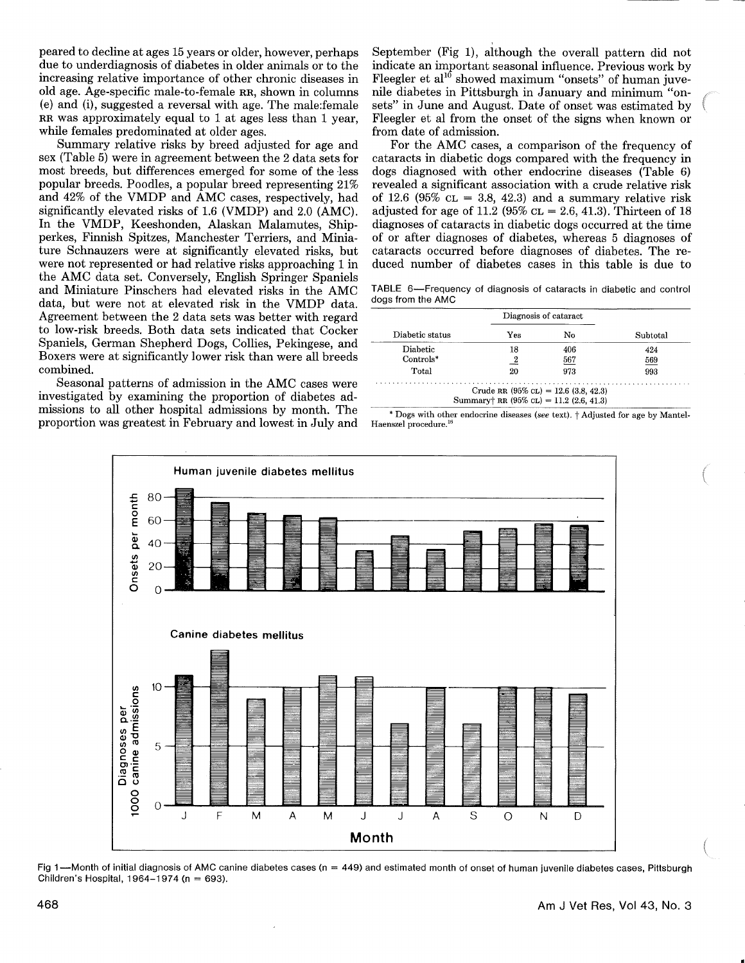peared to decline at ages 15 years or older, however, perhaps due to underdiagnosis of diabetes in older animals or to the increasing relative importance of other chronic diseases in old age. Age-specific male-to-female RR, shown in columns (e) and (i), suggested a reversal with age. The male:female RR was approximately equal to 1 at ages less than 1 year, while females predominated at older ages.

Summary relative risks by breed adjusted for age and sex (Table 5) were in agreement between the 2 data sets for most breeds, but differences emerged for some of the less popular breeds. Poodles, a popular breed representing 21% and 42% of the VMDP and AMC cases, respectively, had significantly elevated risks of 1.6 (VMDP) and 2.0 (AMC). In the VMDP, Keeshonden, Alaskan Malamutes, Shipperkes, Finnish Spitzes, Manchester Terriers, and Miniature Schnauzers were at significantly elevated risks, but were not represented or had relative risks approaching 1 in the AMC data set. Conversely, English Springer Spaniels and Miniature Pinschers had elevated risks in the AMC data, but were not at elevated risk in the VMDP data. Agreement between the 2 data sets was better with regard to low-risk breeds. Both data sets indicated that Cocker Spaniels, German Shepherd Dogs, Collies, Pekingese, and Boxers were at significantly lower risk than were all breeds combined.

Seasonal patterns of admission in the AMC cases were investigated by examining the proportion of diabetes admissions to all other hospital admissions by month. The proportion was greatest in February and lowest in July and September (Fig 1), although the overall pattern did not indicate an important seasonal influence. Previous work by Fleegler et al<sup>10</sup> showed maximum "onsets" of human juvenile diabetes in Pittsburgh in January and minimum "onsets" in June and August. Date of onset was estimated by Fleegler et al from the onset of the signs when known or from date of admission.

For the AMC cases, a comparison of the frequency of cataracts in diabetic dogs compared with the frequency in dogs diagnosed with other endocrine diseases (Table 6) revealed a significant association with a crude relative risk of 12.6 (95%  $CL = 3.8$ , 42.3) and a summary relative risk adjusted for age of 11.2 (95%  $CL = 2.6, 41.3$ ). Thirteen of 18 diagnoses of cataracts in diabetic dogs occurred at the time of or after diagnoses of diabetes, whereas 5 diagnoses of cataracts occurred before diagnoses of diabetes. The reduced number of diabetes cases in this table is due to

TABLE 6-Frequency of diagnosis of cataracts in diabetic and control dogs from the AMC

|                 | Diagnosis of cataract |     |          |
|-----------------|-----------------------|-----|----------|
| Diabetic status | Yes                   | No  | Subtotal |
| Diabetic        | 18                    | 406 | 424      |
| $Controls^*$    |                       | 567 | 569      |
| Total           | 20                    | 973 | 993      |

 $*$  Dogs with other endocrine diseases (see text),  $\dagger$  Adjusted for age by Mantel-Haenszel procedure.



Fig 1—Month of initial diagnosis of AMC canine diabetes cases ( $n = 449$ ) and estimated month of onset of human juvenile diabetes cases, Pittsburgh Children's Hospital, 1964-1974 (n = 693).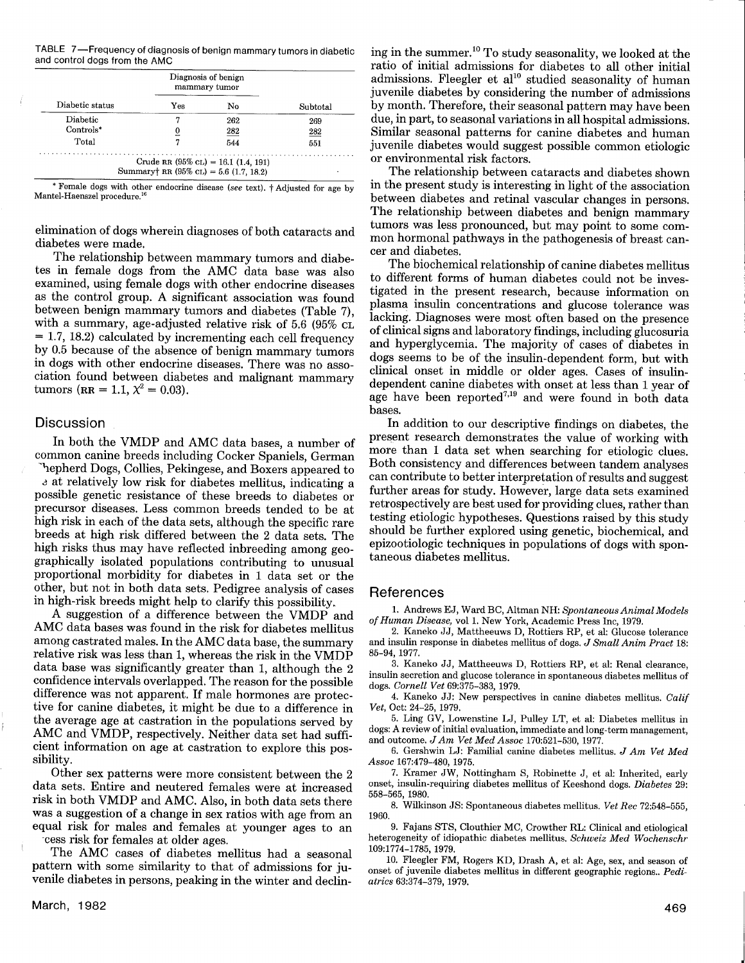TABLE 7-Frequency of diagnosis of benign mammary tumors in diabetic and control dogs from the AMC

|                 |     | Diagnosis of benign<br>mammary tumor                                                  |          |  |
|-----------------|-----|---------------------------------------------------------------------------------------|----------|--|
| Diabetic status | Yes | No                                                                                    | Subtotal |  |
| Diabetic        |     | 262                                                                                   | 269      |  |
| $Controls^*$    |     | $\overline{282}$                                                                      | 282      |  |
| Total           |     | 544                                                                                   | 551      |  |
| .               |     | Crude RR $(95\%$ CL) = 16.1 $(1.4, 191)$<br>Summary† RR $(95\%$ CL) = 5.6 (1.7, 18.2) |          |  |

\* Female dogs with other endocrine disease (see text),  $\dagger$  Adjusted for age by Mantel-Haenszel procedure.<sup>1</sup>

elimination of dogs wherein diagnoses of both cataracts and diabetes were made.

The relationship between mammary tumors and diabetes in female dogs from the AMC data base was also examined, using female dogs with other endocrine diseases as the control group. A significant association was found between benign mammary tumors and diabetes (Table 7), with a summary, age-adjusted relative risk of 5.6 (95% CL)  $= 1.7, 18.2$  calculated by incrementing each cell frequency by 0.5 because of the absence of benign mammary tumors in dogs with other endocrine diseases. There was no association found between diabetes and malignant mammary tumors ( $RR = 1.1$ ,  $\chi^2 = 0.03$ ).

## **Discussion**

In both the VMDP and AMC data bases, a number of common canine breeds including Cocker Spaniels, German hepherd Dogs, Collies, Pekingese, and Boxers appeared to

at relatively low risk for diabetes mellitus, indicating a possible genetic resistance of these breeds to diabetes or precursor diseases. Less common breeds tended to be at high risk in each of the data sets, although the specific rare breeds at high risk differed between the 2 data sets. The high risks thus may have reflected inbreeding among geographically isolated populations contributing to unusual proportional morbidity for diabetes in 1 data set or the other, but not in both data sets. Pedigree analysis of cases in high-risk breeds might help to clarify this possibility.

A suggestion of a difference between the VMDP and AMC data bases was found in the risk for diabetes mellitus among castrated males. In the AMC data base, the summary relative risk was less than 1, whereas the risk in the VMDP data base was significantly greater than 1, although the 2 confidence intervals overlapped. The reason for the possible difference was not apparent. If male hormones are protective for canine diabetes, it might be due to a difference in the average age at castration in the populations served by AMC and VMDP, respectively. Neither data set had sufficient information on age at castration to explore this possibility.

Other sex patterns were more consistent between the 2 data sets. Entire and neutered females were at increased risk in both VMDP and AMC. Also, in both data sets there was a suggestion of a change in sex ratios with age from an equal risk for males and females at younger ages to an

-cess risk for females at older ages.

The AMC cases of diabetes mellitus had a seasonal pattern with some similarity to that of admissions for juvenile diabetes in persons, peaking in the winter and declining in the summer.1° To study seasonality, we looked at the ratio of initial admissions for diabetes to all other initial admissions. Fleegler et  $al^{10}$  studied seasonality of human juvenile diabetes by considering the number of admissions by month. Therefore, their seasonal pattern may have been due, in part, to seasonal variations in all hospital admissions. Similar seasonal patterns for canine diabetes and human juvenile diabetes would suggest possible common etiologic or environmental risk factors.

The relationship between cataracts and diabetes shown in the present study is interesting in light of the association between diabetes and retinal vascular changes in persons. The relationship between diabetes and benign mammary tumors was less pronounced, but may point to some common hormonal pathways in the pathogenesis of breast cancer and diabetes.

The biochemical relationship of canine diabetes mellitus to different forms of human diabetes could not be investigated in the present research, because information on plasma insulin concentrations and glucose tolerance was lacking. Diagnoses were most often based on the presence of clinical signs and laboratory findings, including glucosuria and hyperglycemia. The majority of cases of diabetes in dogs seems to be of the insulin-dependent form, but with clinical onset in middle or older ages. Cases of insulindependent canine diabetes with onset at less than 1 year of age have been reported<sup>7,19</sup> and were found in both data bases.

In addition to our descriptive findings on diabetes, the present research demonstrates the value of working with more than 1 data set when searching for etiologic clues. Both consistency and differences between tandem analyses can contribute to better interpretation of results and suggest further areas for study. However, large data sets examined retrospectively are best used for providing clues, rather than testing etiologic hypotheses. Questions raised by this study should be further explored using genetic, biochemical, and epizootiologic techniques in populations of dogs with spontaneous diabetes mellitus.

#### References

1. Andrews EJ, Ward BC, Altman NH: Spontaneous Animal Models of Human Disease, vol 1. New York, Academic Press Inc, 1979.

2. Kaneko JJ, Mattheeuws D, Rottiers RP, et al: Glucose tolerance and insulin response in diabetes mellitus of dogs. J Small Anim Pract 18: 85-94, 1977.

3. Kaneko JJ, Mattheeuws D, Rottiers RP, et al: Renal clearance, insulin secretion and glucose tolerance in spontaneous diabetes mellitus of dogs. Cornell Vet 69:375-383, 1979.

4. Kaneko JJ: New perspectives in canine diabetes mellitus. Calif Vet, Oct: 24-25, 1979.

5. Ling GV, Lowenstine LJ, Pulley LT, et al: Diabetes mellitus in dogs: A review of initial evaluation, immediate and long-term management, and outcome. JAm Vet Med Assoc 170:521-530, 1977.

6. Gershwin LJ: Familial canine diabetes mellitus. J Am Vet Med Assoc 167:479-480, 1975.

7. Kramer JW, Nottingham S, Robinette J, et al: Inherited, early onset, insulin-requiring diabetes mellitus of Keeshond dogs. Diabetes 29: 558-565, 1980.

8. Wilkinson JS: Spontaneous diabetes mellitus. Vet Rec 72:548-555, 1960.

9. Fajans STS, Clouthier MC, Crowther RL: Clinical and etiological heterogeneity of idiopathic diabetes mellitus. Schweiz Med Wochenschr 109:1774-1785, 1979.

10. Fleegler FM, Rogers KD, brash A, et al: Age, sex, and season of onset of juvenile diabetes mellitus in different geographic regions.. Pediatrics 63:374-379, 1979.